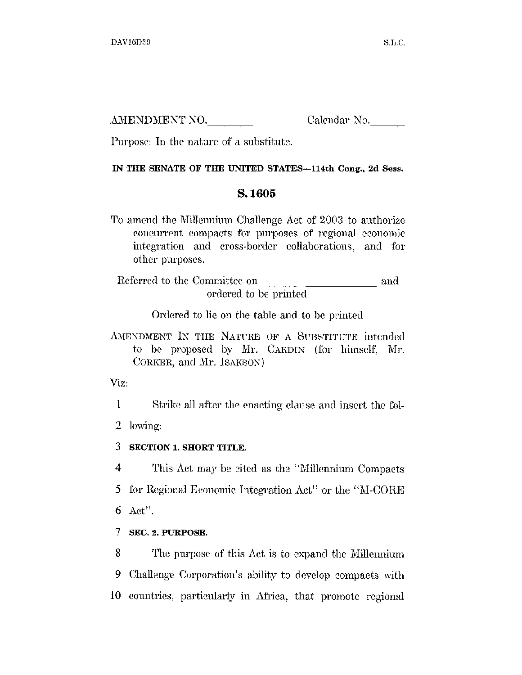AMENDMENT NO.

Calendar No.

Purpose: In the nature of a substitute.

## IN THE SENATE OF THE UNITED STATES-114th Cong., 2d Sess.

## S.1605

To amend the Millennium Challenge Act of 2003 to authorize concurrent compacts for purposes of regional economic integration and cross-border collaborations, and for other purposes.

Referred to the Committee on and and ordered to be printed

Ordered to lie on the table and to be printed

AMENDMENT IN THE NATURE OF A SUBSTITUTE intended to be proposed by Mr. CARDIN (for himself, Mr. CORKER, and Mr. ISAKSON)

Viz.

 $\mathbf{I}$ Strike all after the enacting clause and insert the fol-2 lowing:

3 SECTION 1. SHORT TITLE.

 $\overline{4}$ This Act may be cited as the "Millennium Compacts" for Regional Economic Integration Act" or the "M-CORE" 5  $Act".$ 6

7 SEC. 2. PURPOSE.

8 The purpose of this Act is to expand the Millennium 9 Challenge Corporation's ability to develop compacts with 10 countries, particularly in Africa, that promote regional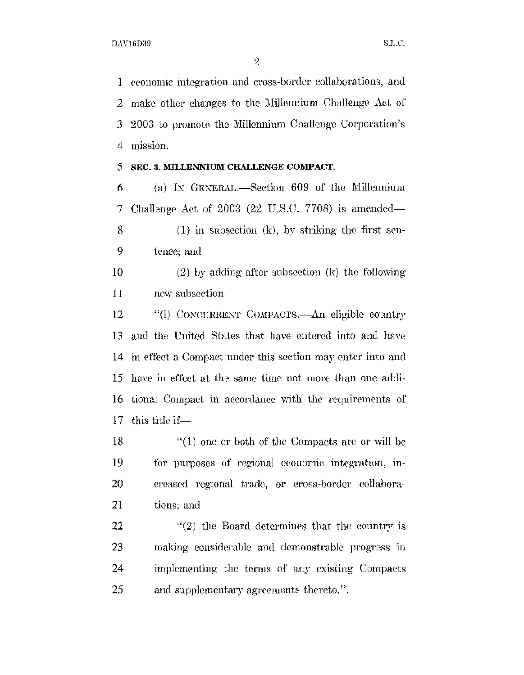$\overline{2}$ 

economic integration and cross-border collaborations, and  $\mathbf{1}$ make other changes to the Millennium Challenge Act of  $\overline{2}$ 2003 to promote the Millennium Challenge Corporation's 3  $\overline{4}$ mission.

## SEC. 3. MILLENNIUM CHALLENGE COMPACT. 5

(a) IN GENERAL.-Section 609 of the Millennium 6 7 Challenge Act of 2003 (22 U.S.C. 7708) is amended—

 $(1)$  in subsection  $(k)$ , by striking the first sen-8 9 tence; and

10  $(2)$  by adding after subsection  $(k)$  the following 11 new subsection.

"(1) CONCURRENT COMPACTS.—An eligible country 12 13 and the United States that have entered into and have in effect a Compact under this section may enter into and 14 have in effect at the same time not more than one addi-15 16 tional Compact in accordance with the requirements of this title if-17

 $''(1)$  one or both of the Compacts are or will be 18 19 for purposes of regional economic integration, in-20 creased regional trade, or cross-border collabora-21 tions; and

22  $''(2)$  the Board determines that the country is 23 making considerable and demonstrable progress in 24 implementing the terms of any existing Compacts 25 and supplementary agreements thereto.".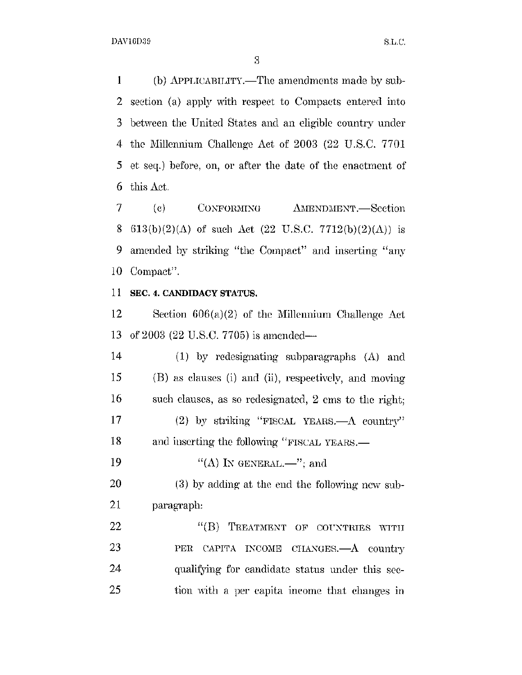$\mathbf{1}$ (b) APPLICABILITY.—The amendments made by sub-2 section (a) apply with respect to Compacts entered into between the United States and an eligible country under 3 4 the Millennium Challenge Act of 2003 (22 U.S.C. 7701) 5 et seq.) before, on, or after the date of the enactment of this Act. 6

7  $\left( \mathrm{e}\right)$ CONFORMING **AMENDMENT.** Section 8 613(b)(2)( $\Lambda$ ) of such Act (22 U.S.C. 7712(b)(2)( $\Lambda$ )) is 9 amended by striking "the Compact" and inserting "any 10 Compact".

## 11 SEC. 4. CANDIDACY STATUS.

Section  $606(a)(2)$  of the Millennium Challenge Act 12 of 2003 (22 U.S.C. 7705) is amended-13

 $14$  $(1)$  by redesignating subparagraphs  $(A)$  and 15 (B) as clauses (i) and (ii), respectively, and moving 16 such clauses, as so redesignated, 2 cms to the right; 17 (2) by striking "FISCAL YEARS.—A country" 18 and inserting the following "FISCAL YEARS.— 19 "(A) IN GENERAL.—"; and

20 (3) by adding at the end the following new sub-21 paragraph:

22 "(B) TREATMENT OF COUNTRIES WITH 23 PER CAPITA INCOME CHANGES.- A country 24 qualifying for candidate status under this sec-25 tion with a per capita income that changes in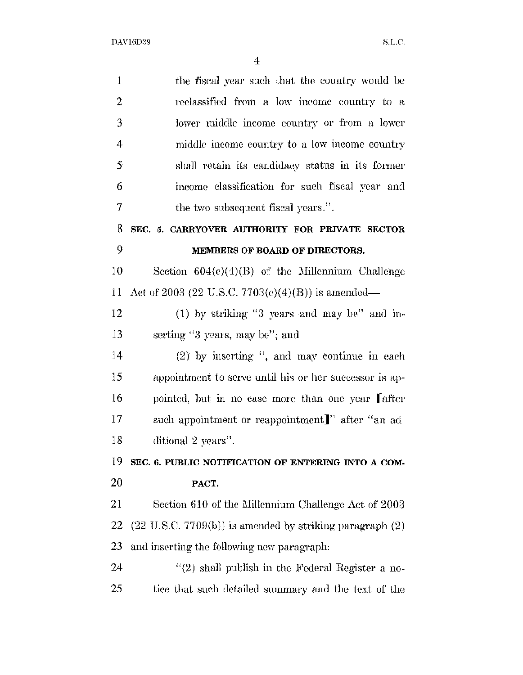| 1  | the fiscal year such that the country would be                        |
|----|-----------------------------------------------------------------------|
| 2  | reclassified from a low income country to a                           |
| 3  | lower middle income country or from a lower                           |
| 4  | middle income country to a low income country                         |
| 5  | shall retain its candidacy status in its former                       |
| 6  | income classification for such fiscal year and                        |
| 7  | the two subsequent fiscal years.".                                    |
| 8  | SEC. 5. CARRYOVER AUTHORITY FOR PRIVATE SECTOR                        |
| 9  | MEMBERS OF BOARD OF DIRECTORS.                                        |
| 10 | Section $604(c)(4)(B)$ of the Millennium Challenge                    |
| 11 | Act of 2003 (22 U.S.C. 7703(c)(4)(B)) is amended—                     |
| 12 | (1) by striking "3 years and may be" and in-                          |
| 13 | serting "3 years, may be"; and                                        |
| 14 | $(2)$ by inserting ", and may continue in each                        |
| 15 | appointment to serve until his or her successor is ap-                |
| 16 | pointed, but in no case more than one year Lafter                     |
| 17 | such appointment or reappointment]" after "an ad-                     |
| 18 | ditional 2 years".                                                    |
| 19 | SEC. 6. PUBLIC NOTIFICATION OF ENTERING INTO A COM-                   |
| 20 | PACT.                                                                 |
| 21 | Section 610 of the Millennium Challenge Act of 2003                   |
| 22 | $(22 \text{ U.S.C. } 7709(b))$ is amended by striking paragraph $(2)$ |
| 23 | and inserting the following new paragraph.                            |
| 24 | $f'(2)$ shall publish in the Federal Register a no-                   |
| 25 | tice that such detailed summary and the text of the                   |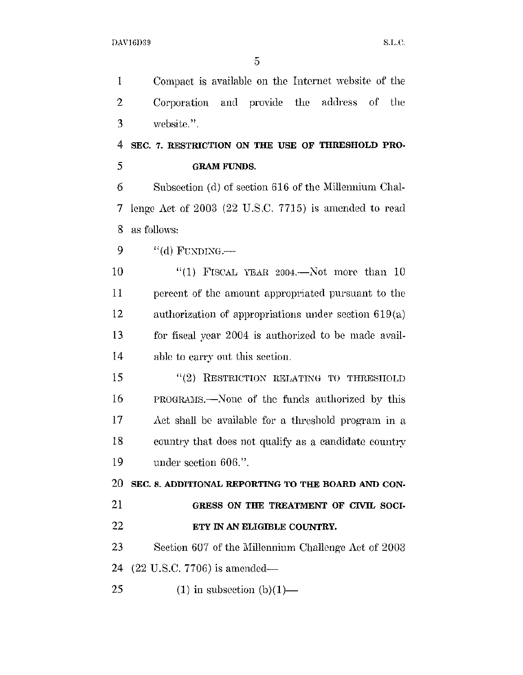$\overline{5}$ 

 $\mathbf{1}$ Compact is available on the Internet website of the  $\overline{2}$ and provide the address – the Corporation - of 3 website.".

4 SEC. 7. RESTRICTION ON THE USE OF THRESHOLD PRO-5 **GRAM FUNDS.** 

6 Subsection (d) of section 616 of the Millennium Challenge Act of  $2003$  (22 U.S.C. 7715) is amended to read 7 as follows: 8

9  $"$ (d) FUNDING.—

10 "(1) FISCAL YEAR 2004.—Not more than  $10$  $11$ percent of the amount appropriated pursuant to the 12 authorization of appropriations under section  $619(a)$ 13 for fiscal year 2004 is authorized to be made avail-14 able to carry out this section.

15 "(2) RESTRICTION RELATING TO THRESIIOLD 16 PROGRAMS.—None of the funds authorized by this 17 Act shall be available for a threshold program in a 18 country that does not qualify as a candidate country 19 under section 606.".

20 SEC. 8. ADDITIONAL REPORTING TO THE BOARD AND CON-

- 21 GRESS ON THE TREATMENT OF CIVIL SOCI-
- $22$ ETY IN AN ELIGIBLE COUNTRY.

23 Section 607 of the Millennium Challenge Act of 2003 24  $(22 \text{ U.S.C. } 7706)$  is amended—

25  $(1)$  in subsection  $(b)(1)$ —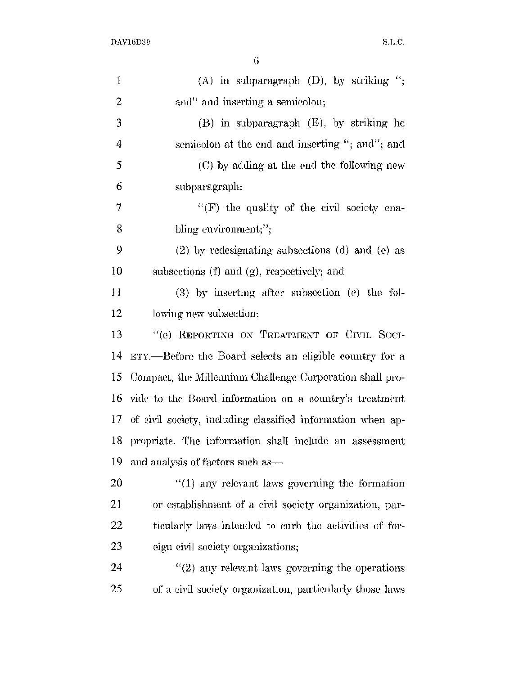| ٦ |  |
|---|--|
|   |  |

| $\mathbf 1$ | (A) in subparagraph (D), by striking $\lq$ ;                |
|-------------|-------------------------------------------------------------|
| 2           | and" and inserting a semicolon;                             |
| 3           | $(B)$ in subparagraph $(E)$ , by striking he                |
| 4           | semicolon at the end and inserting "; and"; and             |
| 5           | (C) by adding at the end the following new                  |
| 6           | subparagraph:                                               |
| 7           | " $(F)$ the quality of the civil society ena-               |
| 8           | bling environment;";                                        |
| 9           | $(2)$ by redesignating subsections (d) and (e) as           |
| 10          | subsections (f) and (g), respectively; and                  |
| 11          | $(3)$ by inserting after subsection $(e)$ the fol-          |
| 12          | lowing new subsection:                                      |
| 13          | "(e) REPORTING ON TREATMENT OF CIVIL SOCI-                  |
| 14          | ETY.—Before the Board selects an eligible country for a     |
| 15          | Compact, the Millennium Challenge Corporation shall pro-    |
| 16          | vide to the Board information on a country's treatment      |
| 17          | of civil society, including classified information when ap- |
| 18          | propriate. The information shall include an assessment      |
| 19          | and analysis of factors such as —                           |
| 20          | $"(1)$ any relevant laws governing the formation            |
| 21          | or establishment of a civil society organization, par-      |
| 22          | ticularly laws intended to curb the activities of for-      |
| 23          | eign civil society organizations;                           |
| 24          | $\lq(2)$ any relevant laws governing the operations         |
| 25          | of a civil society organization, particularly those laws    |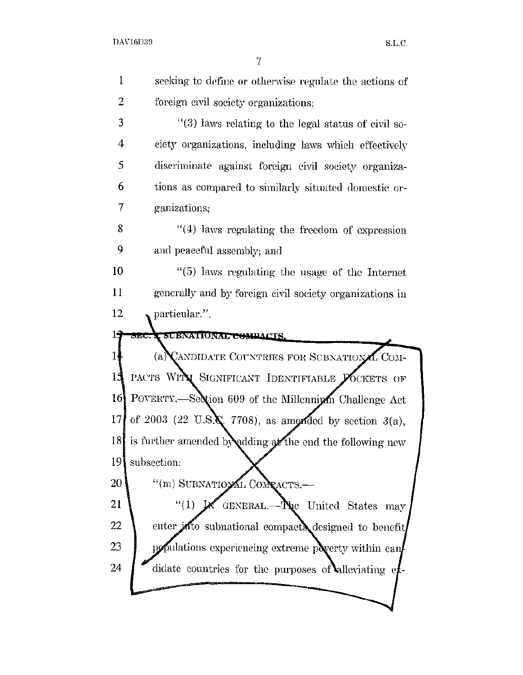$\overline{7}$ 

| seeking to define or otherwise regulate the actions of                                       |
|----------------------------------------------------------------------------------------------|
| foreign civil society organizations;                                                         |
| "(3) laws relating to the legal status of civil so-                                          |
| ciety organizations, including laws which effectively                                        |
| discriminate against foreign civil society organiza-                                         |
| tions as compared to similarly situated domestic or-                                         |
| ganizations;                                                                                 |
| $(4)$ laws regulating the freedom of expression                                              |
| and peaceful assembly; and                                                                   |
| $(5)$ laws regulating the usage of the Internet                                              |
| generally and by foreign civil society organizations in                                      |
| particular.".                                                                                |
| SEC. C SUBNATIONAL COMPACTS.                                                                 |
| (a) CANDIDATE COUNTRIES FOR SUBNATIONAL COM-                                                 |
| PACTS WITH SIGNIFICANT IDENTIFIABLE POCKETS OF                                               |
| POVERTY.—Section 609 of the Millenniyan Challenge Act<br>16                                  |
| of 2003 (22 U.S.K. 7708), as amended by section $3(a)$ ,                                     |
| 18 is further amended by adding at the end the following new                                 |
| subsection:                                                                                  |
| "(m) SUBNATIONAL CONRACTS .-                                                                 |
| GENERAL.— $\mathbf{N}_{\mathbf{R}}$ e United States may<br>$\mathfrak{C}(1)$ is $\mathbb{R}$ |
| enter into subnational compacts designed to benefit                                          |
| populations experiencing extreme poverty within can                                          |
| didate countries for the purposes of alleviating et                                          |
|                                                                                              |
|                                                                                              |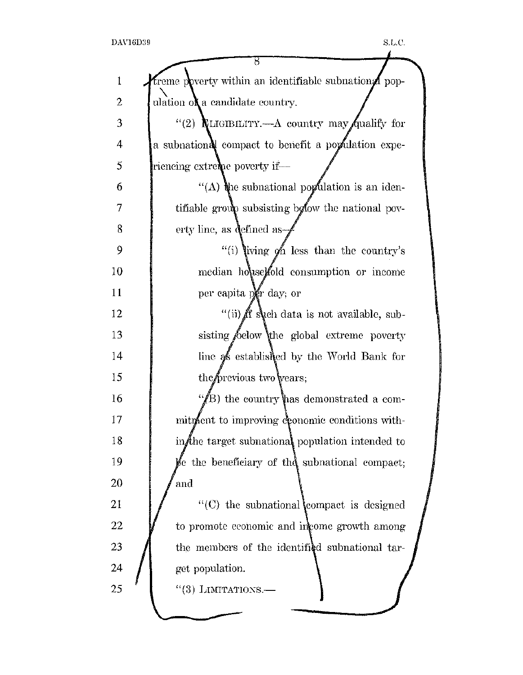|    | ह                                                              |  |
|----|----------------------------------------------------------------|--|
| 1  | treme poverty within an identifiable subnational pop-          |  |
| 2  | ulation of a candidate country.                                |  |
| 3  | "(2) <b>R</b> LIGIBILITY.—A country may qualify for            |  |
| 4  | a subnational compact to benefit a population expe-            |  |
| 5  | riencing extreme poverty if—                                   |  |
| 6  | "(A) the subnational population is an iden-                    |  |
| 7  | tifiable group subsisting bolow the national pov-              |  |
| 8  | erty line, as defined as-                                      |  |
| 9  | "(i) living of less than the country's                         |  |
| 10 | median house fold consumption or income                        |  |
| 11 | per capita per day; or                                         |  |
| 12 | "(ii) ff such data is not available, sub-                      |  |
| 13 | sisting below the global extreme poverty                       |  |
| 14 | line as established by the World Bank for                      |  |
| 15 | the previous two vears;                                        |  |
| 16 | $\mathscr{C}(\!\!\!\!\!B)$ the country has demonstrated a com- |  |
| 17 | mitment to improving economic conditions with-                 |  |
| 18 | in the target subnational population intended to               |  |
| 19 | be the beneficiary of the subnational compact;                 |  |
| 20 | and                                                            |  |
| 21 | $\lq\lq$ the subnational compact is designed                   |  |
| 22 | to promote economic and income growth among                    |  |
| 23 | the members of the identified subnational tar-                 |  |
| 24 | get population.                                                |  |
| 25 | $"(3)$ LIMITATIONS.—                                           |  |
|    |                                                                |  |